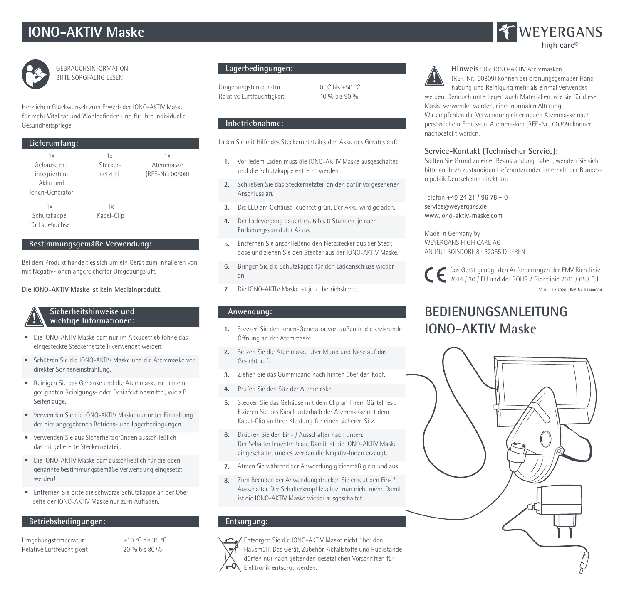# **IONO-AKTIV Maske**



GEBRAUCHSINFORMATION, BITTE SORGFÄLTIG LESEN!

Herzlichen Glückwunsch zum Erwerb der IONO-AKTIV Maske für mehr Vitalität und Wohlbefinden und für Ihre individuelle Gesundheitspflege.

## **Lieferumfang:**

| 1x              | 1x         | 1x                |
|-----------------|------------|-------------------|
| Gehäuse mit     | Stecker-   | Atemmaske         |
| integriertem    | netzteil   | (REF.-Nr.: 00809) |
| Akku und        |            |                   |
| Ionen-Generator |            |                   |
| 1x              | 1x         |                   |
| Schutzkappe     | Kabel-Clip |                   |
| für Ladebuchse  |            |                   |

#### **Bestimmungsgemäße Verwendung:**

Bei dem Produkt handelt es sich um ein Gerät zum Inhalieren von mit Negativ-Ionen angereicherter Umgebungsluft.

#### **Die IONO-AKTIV Maske ist kein Medizinprodukt.**

### **Sicherheitshinweise und wichtige Informationen:**

- Die IONO-AKTIV Maske darf nur im Akkubetrieb (ohne das eingesteckte Steckernetzteil) verwendet werden.
- Schützen Sie die IONO-AKTIV Maske und die Atemmaske vor direkter Sonneneinstrahlung.
- Reinigen Sie das Gehäuse und die Atemmaske mit einem geeigneten Reinigungs- oder Desinfektionsmittel, wie z.B. Seifenlauge.
- Verwenden Sie die IONO-AKTIV Maske nur unter Einhaltung der hier angegebenen Betriebs- und Lagerbedingungen.
- Verwenden Sie aus Sicherheitsgründen ausschließlich das mitgelieferte Steckernetzteil.
- Die IONO-AKTIV Maske darf ausschließlich für die oben genannte bestimmungsgemäße Verwendung eingesetzt werden!
- Entfernen Sie bitte die schwarze Schutzkappe an der Ober seite der IONO-AKTIV Maske nur zum Aufladen.

#### **Betriebsbedingungen:**

Umgebungstemperatur +10 °C bis 35 °C Relative Luftfeuchtigkeit 20 % bis 80 %

## **Lagerbedingungen:**

Umgebungstemperatur 0 °C bis +50 °C Relative Luftfeuchtigkeit 10 % bis 90 %

### **Inbetriebnahme:**

Laden Sie mit Hilfe des Steckernetzteiles den Akku des Gerätes auf:

- **1.** Vor jedem Laden muss die IONO-AKTIV Maske ausgeschaltet und die Schutzkappe entfernt werden.
- **2.** Schließen Sie das Steckernetzteil an den dafür vorgesehenen Anschluss an.
- **3.** Die LED am Gehäuse leuchtet grün. Der Akku wird geladen.
- **4.** Der Ladevorgang dauert ca. 6 bis 8 Stunden, je nach Entladungsstand der Akkus.
- **5.** Entfernen Sie anschließend den Netzstecker aus der Steckdose und ziehen Sie den Stecker aus der IONO-AKTIV Maske.
- **6.** Bringen Sie die Schutzkappe für den Ladeanschluss wieder an.
- **7.** Die IONO-AKTIV Maske ist jetzt betriebsbereit.

#### **Anwendung:**

- **1.** Stecken Sie den Ionen-Generator von außen in die kreisrunde Öffnung an der Atemmaske.
- **2.** Setzen Sie die Atemmaske über Mund und Nase auf das Gesicht auf.
- **3.** Ziehen Sie das Gummiband nach hinten über den Kopf.
- **4.** Prüfen Sie den Sitz der Atemmaske.
- **5.** Stecken Sie das Gehäuse mit dem Clip an Ihrem Gürtel fest. Fixieren Sie das Kabel unterhalb der Atemmaske mit dem Kabel-Clip an Ihrer Kleidung für einen sicheren Sitz.
- **6.** Drücken Sie den Ein- / Ausschalter nach unten. Der Schalter leuchtet blau. Damit ist die IONO-AKTIV Maske eingeschaltet und es werden die Negativ-Ionen erzeugt.
- **7.** Atmen Sie während der Anwendung gleichmäßig ein und aus.
- **8.** Zum Beenden der Anwendung drücken Sie erneut den Ein- / Ausschalter. Der Schalterknopf leuchtet nun nicht mehr. Damit ist die IONO-AKTIV Maske wieder ausgeschaltet.

## **Entsorgung:**



Entsorgen Sie die IONO-AKTIV Maske nicht über den Hausmüll! Das Gerät, Zubehör, Abfallstoffe und Rückstände dürfen nur nach geltenden gesetzlichen Vorschriften für Elektronik entsorgt werden.



**Hinweis:** Die IONO-AKTIV Atemmasken (REF.-Nr.: 00809) können bei ordnungsgemäßer Handhabung und Reinigung mehr als einmal verwendet

werden. Dennoch unterliegen auch Materialien, wie sie für diese Maske verwendet werden, einer normalen Alterung.

Wir empfehlen die Verwendung einer neuen Atemmaske nach persönlichem Ermessen. Atemmasken (REF.-Nr.: 00809) können nachbestellt werden.

## **Service-Kontakt (Technischer Service):**

Sollten Sie Grund zu einer Beanstandung haben, wenden Sie sich bitte an Ihren zuständigen Lieferanten oder innerhalb der Bundesrepublik Deutschland direkt an:

Telefon +49 24 21 / 96 78 – 0 service@weyergans.de www.iono-aktiv-maske.com

Made in Germany by WEYERGANS HIGH CARE AG AN GUT BOISDORF 8 · 52355 DUEREN

Das Gerät genügt den Anforderungen der EMV Richtlinie 2014 / 30 / EU und der ROHS 2 Richtlinie 2011 / 65 / EU. **V. 01 | 12.2020 | Ref. Nr. 02480804**

## **BEDIENUNGSANLEITUNG IONO-AKTIV Maske**